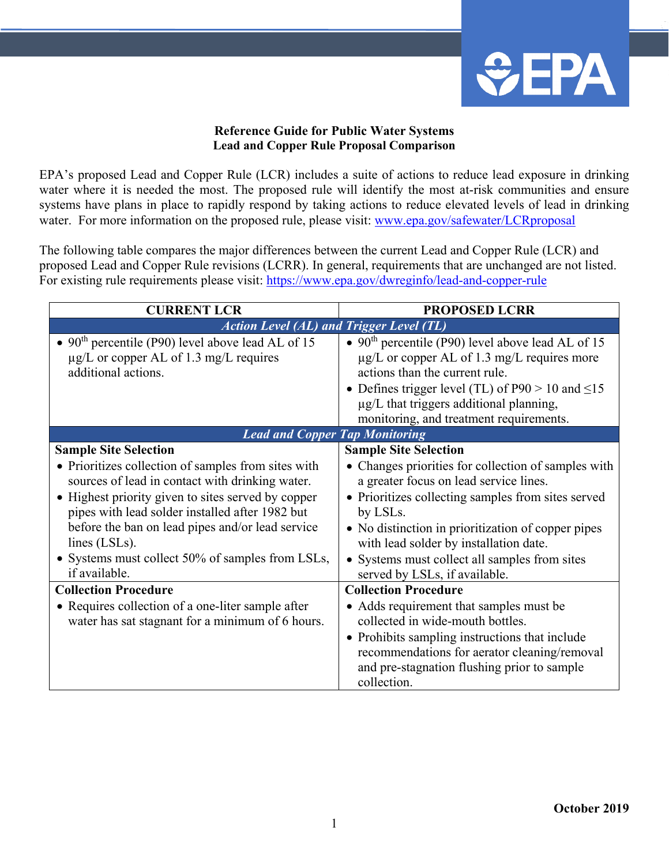

## **Reference Guide for Public Water Systems Lead and Copper Rule Proposal Comparison**

EPA's proposed Lead and Copper Rule (LCR) includes a suite of actions to reduce lead exposure in drinking water where it is needed the most. The proposed rule will identify the most at-risk communities and ensure systems have plans in place to rapidly respond by taking actions to reduce elevated levels of lead in drinking water. For more information on the proposed rule, please visit: [www.epa.gov/safewater/LCRproposal](http://www.epa.gov/safewater/LCRproposal)

The following table compares the major differences between the current Lead and Copper Rule (LCR) and proposed Lead and Copper Rule revisions (LCRR). In general, requirements that are unchanged are not listed. For existing rule requirements please visit:<https://www.epa.gov/dwreginfo/lead-and-copper-rule>

| <b>CURRENT LCR</b>                                                                                                                                                                                                                                                                                                                                                                        | <b>PROPOSED LCRR</b>                                                                                                                                                                                                                                                                                                                                                              |  |
|-------------------------------------------------------------------------------------------------------------------------------------------------------------------------------------------------------------------------------------------------------------------------------------------------------------------------------------------------------------------------------------------|-----------------------------------------------------------------------------------------------------------------------------------------------------------------------------------------------------------------------------------------------------------------------------------------------------------------------------------------------------------------------------------|--|
| <b>Action Level (AL) and Trigger Level (TL)</b>                                                                                                                                                                                                                                                                                                                                           |                                                                                                                                                                                                                                                                                                                                                                                   |  |
| • 90 <sup>th</sup> percentile (P90) level above lead AL of 15<br>$\mu$ g/L or copper AL of 1.3 mg/L requires<br>additional actions.                                                                                                                                                                                                                                                       | • 90 <sup>th</sup> percentile (P90) level above lead AL of 15<br>$\mu$ g/L or copper AL of 1.3 mg/L requires more<br>actions than the current rule.<br>• Defines trigger level (TL) of $P90 > 10$ and $\leq 15$<br>µg/L that triggers additional planning,<br>monitoring, and treatment requirements.                                                                             |  |
| <b>Lead and Copper Tap Monitoring</b>                                                                                                                                                                                                                                                                                                                                                     |                                                                                                                                                                                                                                                                                                                                                                                   |  |
| <b>Sample Site Selection</b><br>• Prioritizes collection of samples from sites with<br>sources of lead in contact with drinking water.<br>• Highest priority given to sites served by copper<br>pipes with lead solder installed after 1982 but<br>before the ban on lead pipes and/or lead service<br>lines (LSLs).<br>• Systems must collect 50% of samples from LSLs,<br>if available. | <b>Sample Site Selection</b><br>• Changes priorities for collection of samples with<br>a greater focus on lead service lines.<br>• Prioritizes collecting samples from sites served<br>by LSLs.<br>• No distinction in prioritization of copper pipes<br>with lead solder by installation date.<br>• Systems must collect all samples from sites<br>served by LSLs, if available. |  |
| <b>Collection Procedure</b><br>• Requires collection of a one-liter sample after<br>water has sat stagnant for a minimum of 6 hours.                                                                                                                                                                                                                                                      | <b>Collection Procedure</b><br>• Adds requirement that samples must be<br>collected in wide-mouth bottles.<br>• Prohibits sampling instructions that include<br>recommendations for aerator cleaning/removal<br>and pre-stagnation flushing prior to sample<br>collection.                                                                                                        |  |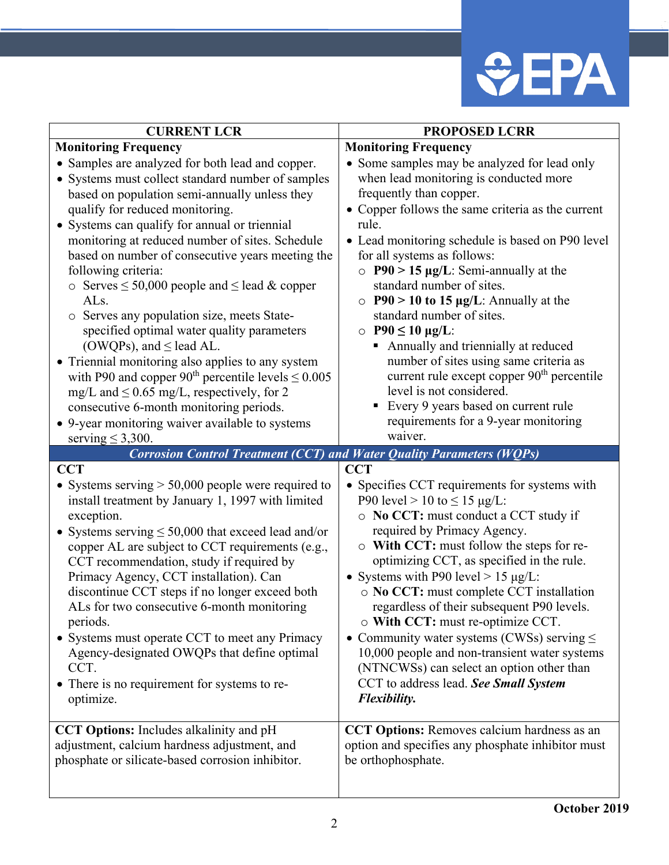

| <b>CURRENT LCR</b>                                                                                                                                                                                                                                                                                                                                                                                                                                                                                                                                                                                                                                                                                                                                                                                                                                       | <b>PROPOSED LCRR</b>                                                                                                                                                                                                                                                                                                                                                                                                                                                                                                                                                                                                                                                                                                       |
|----------------------------------------------------------------------------------------------------------------------------------------------------------------------------------------------------------------------------------------------------------------------------------------------------------------------------------------------------------------------------------------------------------------------------------------------------------------------------------------------------------------------------------------------------------------------------------------------------------------------------------------------------------------------------------------------------------------------------------------------------------------------------------------------------------------------------------------------------------|----------------------------------------------------------------------------------------------------------------------------------------------------------------------------------------------------------------------------------------------------------------------------------------------------------------------------------------------------------------------------------------------------------------------------------------------------------------------------------------------------------------------------------------------------------------------------------------------------------------------------------------------------------------------------------------------------------------------------|
| <b>Monitoring Frequency</b>                                                                                                                                                                                                                                                                                                                                                                                                                                                                                                                                                                                                                                                                                                                                                                                                                              | <b>Monitoring Frequency</b>                                                                                                                                                                                                                                                                                                                                                                                                                                                                                                                                                                                                                                                                                                |
| • Samples are analyzed for both lead and copper.<br>• Systems must collect standard number of samples<br>based on population semi-annually unless they<br>qualify for reduced monitoring.<br>• Systems can qualify for annual or triennial<br>monitoring at reduced number of sites. Schedule<br>based on number of consecutive years meeting the<br>following criteria:<br>$\circ$ Serves $\leq$ 50,000 people and $\leq$ lead & copper<br>ALs.<br>o Serves any population size, meets State-<br>specified optimal water quality parameters<br>(OWQPs), and $\leq$ lead AL.<br>• Triennial monitoring also applies to any system<br>with P90 and copper 90 <sup>th</sup> percentile levels $\leq 0.005$<br>mg/L and $\leq$ 0.65 mg/L, respectively, for 2<br>consecutive 6-month monitoring periods.<br>• 9-year monitoring waiver available to systems | • Some samples may be analyzed for lead only<br>when lead monitoring is conducted more<br>frequently than copper.<br>• Copper follows the same criteria as the current<br>rule.<br>• Lead monitoring schedule is based on P90 level<br>for all systems as follows:<br>$\circ$ P90 > 15 µg/L: Semi-annually at the<br>standard number of sites.<br>$\circ$ P90 > 10 to 15 µg/L: Annually at the<br>standard number of sites.<br>$\circ$ P90 $\leq$ 10 µg/L:<br>Annually and triennially at reduced<br>п<br>number of sites using same criteria as<br>current rule except copper 90 <sup>th</sup> percentile<br>level is not considered.<br>Every 9 years based on current rule<br>٠<br>requirements for a 9-year monitoring |
| serving $\leq$ 3,300.                                                                                                                                                                                                                                                                                                                                                                                                                                                                                                                                                                                                                                                                                                                                                                                                                                    | waiver.                                                                                                                                                                                                                                                                                                                                                                                                                                                                                                                                                                                                                                                                                                                    |
| <b>Corrosion Control Treatment (CCT) and Water Quality Parameters (WQPs)</b>                                                                                                                                                                                                                                                                                                                                                                                                                                                                                                                                                                                                                                                                                                                                                                             |                                                                                                                                                                                                                                                                                                                                                                                                                                                                                                                                                                                                                                                                                                                            |
| <b>CCT</b><br>• Systems serving $> 50,000$ people were required to<br>install treatment by January 1, 1997 with limited<br>exception.<br>• Systems serving $\leq 50,000$ that exceed lead and/or<br>copper AL are subject to CCT requirements (e.g.,<br>CCT recommendation, study if required by<br>Primacy Agency, CCT installation). Can<br>discontinue CCT steps if no longer exceed both<br>ALs for two consecutive 6-month monitoring<br>periods.<br>• Systems must operate CCT to meet any Primacy<br>Agency-designated OWQPs that define optimal<br>CCT.<br>• There is no requirement for systems to re-<br>optimize.                                                                                                                                                                                                                             | <b>CCT</b><br>• Specifies CCT requirements for systems with<br>P90 level > 10 to $\leq$ 15 µg/L:<br>o No CCT: must conduct a CCT study if<br>required by Primacy Agency.<br>o With CCT: must follow the steps for re-<br>optimizing CCT, as specified in the rule.<br>• Systems with P90 level > 15 $\mu$ g/L:<br>o No CCT: must complete CCT installation<br>regardless of their subsequent P90 levels.<br>$\circ$ With CCT: must re-optimize CCT.<br>• Community water systems (CWSs) serving $\leq$<br>10,000 people and non-transient water systems<br>(NTNCWSs) can select an option other than<br>CCT to address lead. See Small System<br>Flexibility.                                                              |
| CCT Options: Includes alkalinity and pH<br>adjustment, calcium hardness adjustment, and<br>phosphate or silicate-based corrosion inhibitor.                                                                                                                                                                                                                                                                                                                                                                                                                                                                                                                                                                                                                                                                                                              | <b>CCT Options:</b> Removes calcium hardness as an<br>option and specifies any phosphate inhibitor must<br>be orthophosphate.                                                                                                                                                                                                                                                                                                                                                                                                                                                                                                                                                                                              |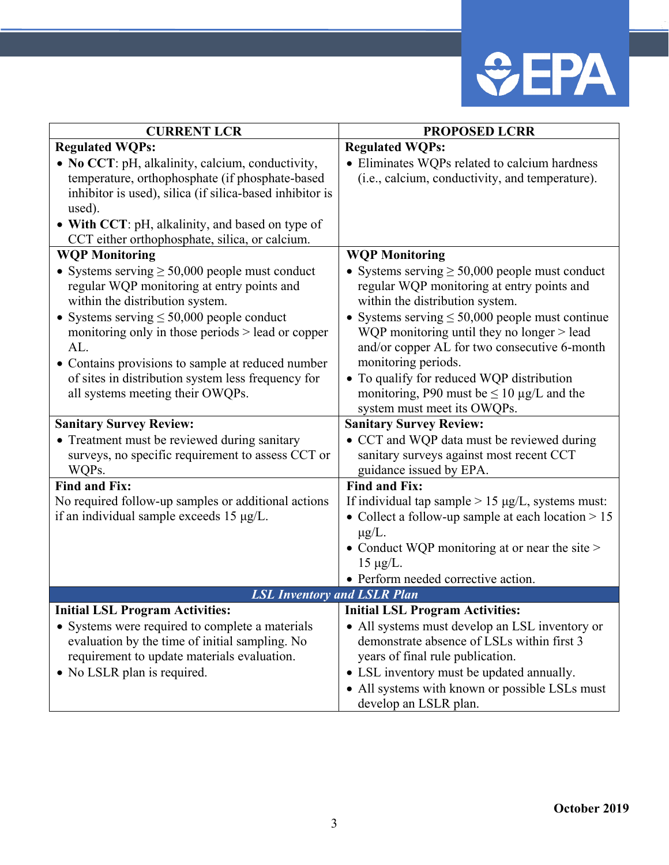

| <b>CURRENT LCR</b>                                       | <b>PROPOSED LCRR</b>                                    |
|----------------------------------------------------------|---------------------------------------------------------|
| <b>Regulated WQPs:</b>                                   | <b>Regulated WQPs:</b>                                  |
| • No CCT: pH, alkalinity, calcium, conductivity,         | • Eliminates WQPs related to calcium hardness           |
| temperature, orthophosphate (if phosphate-based          | (i.e., calcium, conductivity, and temperature).         |
| inhibitor is used), silica (if silica-based inhibitor is |                                                         |
| used).                                                   |                                                         |
| • With CCT: pH, alkalinity, and based on type of         |                                                         |
| CCT either orthophosphate, silica, or calcium.           |                                                         |
| <b>WQP Monitoring</b>                                    | <b>WQP Monitoring</b>                                   |
| • Systems serving $\geq 50,000$ people must conduct      | • Systems serving $\geq 50,000$ people must conduct     |
| regular WQP monitoring at entry points and               | regular WQP monitoring at entry points and              |
| within the distribution system.                          | within the distribution system.                         |
| • Systems serving $\leq 50,000$ people conduct           | • Systems serving $\leq 50,000$ people must continue    |
| monitoring only in those periods > lead or copper        | WQP monitoring until they no longer > lead              |
| AL.                                                      | and/or copper AL for two consecutive 6-month            |
| • Contains provisions to sample at reduced number        | monitoring periods.                                     |
| of sites in distribution system less frequency for       | • To qualify for reduced WQP distribution               |
| all systems meeting their OWQPs.                         | monitoring, P90 must be $\leq 10 \mu g/L$ and the       |
|                                                          | system must meet its OWQPs.                             |
| <b>Sanitary Survey Review:</b>                           | <b>Sanitary Survey Review:</b>                          |
| • Treatment must be reviewed during sanitary             | • CCT and WQP data must be reviewed during              |
| surveys, no specific requirement to assess CCT or        | sanitary surveys against most recent CCT                |
| WQPs.                                                    | guidance issued by EPA.                                 |
| <b>Find and Fix:</b>                                     | <b>Find and Fix:</b>                                    |
| No required follow-up samples or additional actions      | If individual tap sample $> 15 \mu g/L$ , systems must: |
| if an individual sample exceeds 15 µg/L.                 | • Collect a follow-up sample at each location $> 15$    |
|                                                          | $\mu$ g/L.                                              |
|                                                          | • Conduct WQP monitoring at or near the site $>$        |
|                                                          | $15 \mu g/L$ .                                          |
|                                                          | • Perform needed corrective action.                     |
| <b>LSL Inventory and LSLR Plan</b>                       |                                                         |
| <b>Initial LSL Program Activities:</b>                   | <b>Initial LSL Program Activities:</b>                  |
| • Systems were required to complete a materials          | • All systems must develop an LSL inventory or          |
| evaluation by the time of initial sampling. No           | demonstrate absence of LSLs within first 3              |
| requirement to update materials evaluation.              | years of final rule publication.                        |
| • No LSLR plan is required.                              | • LSL inventory must be updated annually.               |
|                                                          | • All systems with known or possible LSLs must          |
|                                                          | develop an LSLR plan.                                   |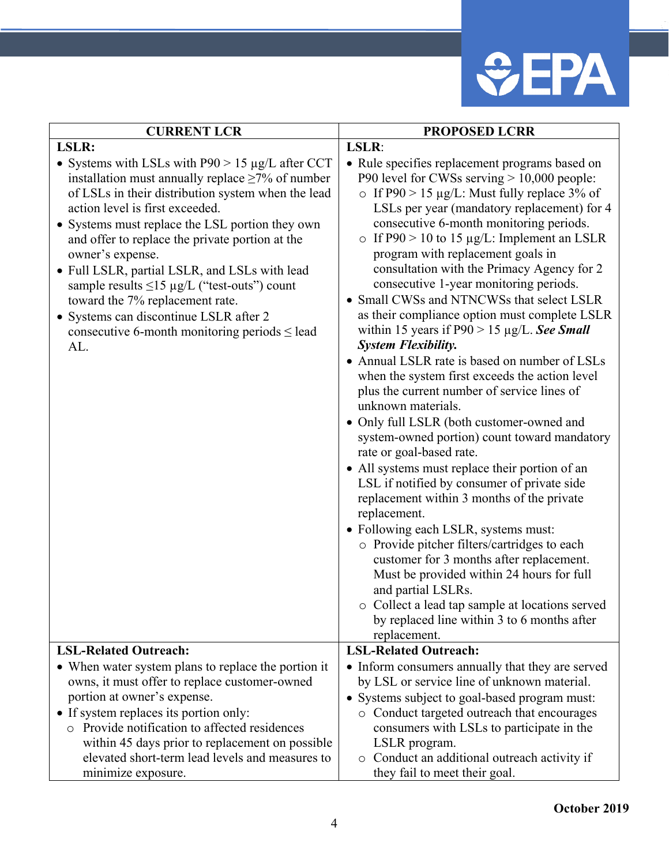

| <b>CURRENT LCR</b>                                                                                                                                                                                                                                                                                                                                                                                                                                                                                                                                                                | <b>PROPOSED LCRR</b>                                                                                                                                                                                                                                                                                                                                                                                                                                                                                                                                                                                                                                                                                                                                                                                                                                                                                                                                                                                                                                                                                                                                                                                                                                                                                                                                                                                      |
|-----------------------------------------------------------------------------------------------------------------------------------------------------------------------------------------------------------------------------------------------------------------------------------------------------------------------------------------------------------------------------------------------------------------------------------------------------------------------------------------------------------------------------------------------------------------------------------|-----------------------------------------------------------------------------------------------------------------------------------------------------------------------------------------------------------------------------------------------------------------------------------------------------------------------------------------------------------------------------------------------------------------------------------------------------------------------------------------------------------------------------------------------------------------------------------------------------------------------------------------------------------------------------------------------------------------------------------------------------------------------------------------------------------------------------------------------------------------------------------------------------------------------------------------------------------------------------------------------------------------------------------------------------------------------------------------------------------------------------------------------------------------------------------------------------------------------------------------------------------------------------------------------------------------------------------------------------------------------------------------------------------|
| LSLR:                                                                                                                                                                                                                                                                                                                                                                                                                                                                                                                                                                             | LSLR:                                                                                                                                                                                                                                                                                                                                                                                                                                                                                                                                                                                                                                                                                                                                                                                                                                                                                                                                                                                                                                                                                                                                                                                                                                                                                                                                                                                                     |
| • Systems with LSLs with $P90 > 15 \mu g/L$ after CCT<br>installation must annually replace $\geq$ 7% of number<br>of LSLs in their distribution system when the lead<br>action level is first exceeded.<br>• Systems must replace the LSL portion they own<br>and offer to replace the private portion at the<br>owner's expense.<br>• Full LSLR, partial LSLR, and LSLs with lead<br>sample results $\leq$ 15 µg/L ("test-outs") count<br>toward the 7% replacement rate.<br>• Systems can discontinue LSLR after 2<br>consecutive 6-month monitoring periods $\le$ lead<br>AL. | • Rule specifies replacement programs based on<br>P90 level for CWSs serving $> 10,000$ people:<br>o If P90 > 15 $\mu$ g/L: Must fully replace 3% of<br>LSLs per year (mandatory replacement) for 4<br>consecutive 6-month monitoring periods.<br>o If P90 > 10 to 15 $\mu$ g/L: Implement an LSLR<br>program with replacement goals in<br>consultation with the Primacy Agency for 2<br>consecutive 1-year monitoring periods.<br>• Small CWSs and NTNCWSs that select LSLR<br>as their compliance option must complete LSLR<br>within 15 years if $P90 > 15 \mu g/L$ . See Small<br><b>System Flexibility.</b><br>• Annual LSLR rate is based on number of LSLs<br>when the system first exceeds the action level<br>plus the current number of service lines of<br>unknown materials.<br>· Only full LSLR (both customer-owned and<br>system-owned portion) count toward mandatory<br>rate or goal-based rate.<br>• All systems must replace their portion of an<br>LSL if notified by consumer of private side<br>replacement within 3 months of the private<br>replacement.<br>• Following each LSLR, systems must:<br>o Provide pitcher filters/cartridges to each<br>customer for 3 months after replacement.<br>Must be provided within 24 hours for full<br>and partial LSLRs.<br>o Collect a lead tap sample at locations served<br>by replaced line within 3 to 6 months after<br>replacement. |
| <b>LSL-Related Outreach:</b>                                                                                                                                                                                                                                                                                                                                                                                                                                                                                                                                                      | <b>LSL-Related Outreach:</b>                                                                                                                                                                                                                                                                                                                                                                                                                                                                                                                                                                                                                                                                                                                                                                                                                                                                                                                                                                                                                                                                                                                                                                                                                                                                                                                                                                              |
| • When water system plans to replace the portion it                                                                                                                                                                                                                                                                                                                                                                                                                                                                                                                               | • Inform consumers annually that they are served                                                                                                                                                                                                                                                                                                                                                                                                                                                                                                                                                                                                                                                                                                                                                                                                                                                                                                                                                                                                                                                                                                                                                                                                                                                                                                                                                          |
| owns, it must offer to replace customer-owned                                                                                                                                                                                                                                                                                                                                                                                                                                                                                                                                     | by LSL or service line of unknown material.                                                                                                                                                                                                                                                                                                                                                                                                                                                                                                                                                                                                                                                                                                                                                                                                                                                                                                                                                                                                                                                                                                                                                                                                                                                                                                                                                               |
| portion at owner's expense.                                                                                                                                                                                                                                                                                                                                                                                                                                                                                                                                                       | • Systems subject to goal-based program must:                                                                                                                                                                                                                                                                                                                                                                                                                                                                                                                                                                                                                                                                                                                                                                                                                                                                                                                                                                                                                                                                                                                                                                                                                                                                                                                                                             |
| • If system replaces its portion only:<br>o Provide notification to affected residences<br>within 45 days prior to replacement on possible                                                                                                                                                                                                                                                                                                                                                                                                                                        | o Conduct targeted outreach that encourages<br>consumers with LSLs to participate in the<br>LSLR program.                                                                                                                                                                                                                                                                                                                                                                                                                                                                                                                                                                                                                                                                                                                                                                                                                                                                                                                                                                                                                                                                                                                                                                                                                                                                                                 |
| elevated short-term lead levels and measures to                                                                                                                                                                                                                                                                                                                                                                                                                                                                                                                                   | o Conduct an additional outreach activity if                                                                                                                                                                                                                                                                                                                                                                                                                                                                                                                                                                                                                                                                                                                                                                                                                                                                                                                                                                                                                                                                                                                                                                                                                                                                                                                                                              |
| minimize exposure.                                                                                                                                                                                                                                                                                                                                                                                                                                                                                                                                                                | they fail to meet their goal.                                                                                                                                                                                                                                                                                                                                                                                                                                                                                                                                                                                                                                                                                                                                                                                                                                                                                                                                                                                                                                                                                                                                                                                                                                                                                                                                                                             |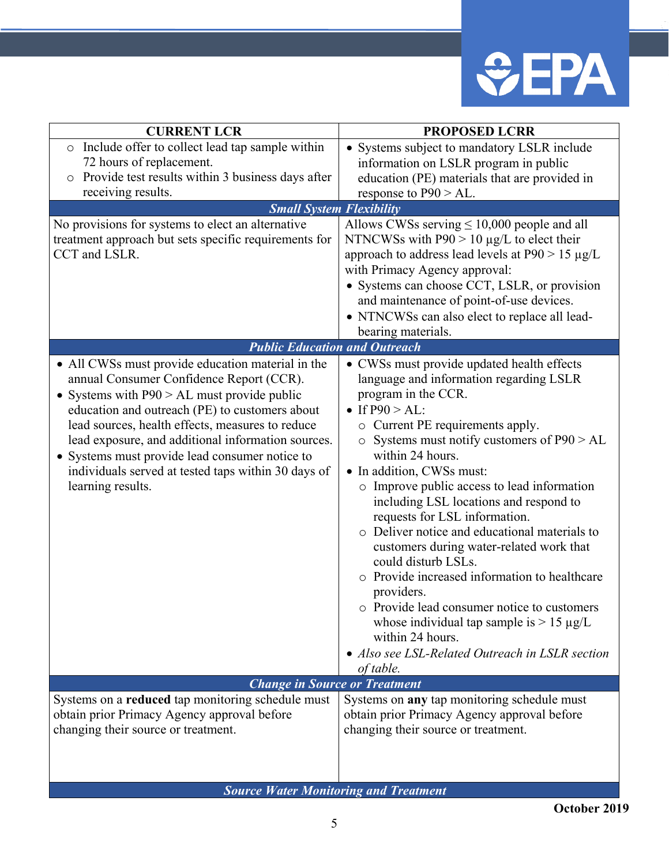

| <b>CURRENT LCR</b>                                                                                    | <b>PROPOSED LCRR</b>                                                  |
|-------------------------------------------------------------------------------------------------------|-----------------------------------------------------------------------|
| o Include offer to collect lead tap sample within                                                     | • Systems subject to mandatory LSLR include                           |
| 72 hours of replacement.                                                                              | information on LSLR program in public                                 |
| Provide test results within 3 business days after                                                     | education (PE) materials that are provided in                         |
| receiving results.                                                                                    | response to $P90 > AL$ .                                              |
| <b>Small System Flexibility</b>                                                                       |                                                                       |
| No provisions for systems to elect an alternative                                                     | Allows CWSs serving $\leq 10,000$ people and all                      |
| treatment approach but sets specific requirements for                                                 | NTNCWSs with $P90 > 10 \mu g/L$ to elect their                        |
| CCT and LSLR.                                                                                         | approach to address lead levels at $P90 > 15 \mu g/L$                 |
|                                                                                                       | with Primacy Agency approval:                                         |
|                                                                                                       | • Systems can choose CCT, LSLR, or provision                          |
|                                                                                                       | and maintenance of point-of-use devices.                              |
|                                                                                                       | • NTNCWSs can also elect to replace all lead-                         |
|                                                                                                       | bearing materials.                                                    |
| <b>Public Education and Outreach</b>                                                                  |                                                                       |
| • All CWSs must provide education material in the                                                     | • CWSs must provide updated health effects                            |
| annual Consumer Confidence Report (CCR).                                                              | language and information regarding LSLR                               |
| • Systems with $P90 > AL$ must provide public                                                         | program in the CCR.                                                   |
| education and outreach (PE) to customers about                                                        | • If $P90 > AL$ :                                                     |
| lead sources, health effects, measures to reduce                                                      | o Current PE requirements apply.                                      |
| lead exposure, and additional information sources.                                                    | $\circ$ Systems must notify customers of P90 > AL<br>within 24 hours. |
| • Systems must provide lead consumer notice to<br>individuals served at tested taps within 30 days of | • In addition, CWSs must:                                             |
| learning results.                                                                                     | o Improve public access to lead information                           |
|                                                                                                       | including LSL locations and respond to                                |
|                                                                                                       | requests for LSL information.                                         |
|                                                                                                       | o Deliver notice and educational materials to                         |
|                                                                                                       | customers during water-related work that                              |
|                                                                                                       | could disturb LSLs.                                                   |
|                                                                                                       | o Provide increased information to healthcare                         |
|                                                                                                       | providers.                                                            |
|                                                                                                       | o Provide lead consumer notice to customers                           |
|                                                                                                       | whose individual tap sample is $> 15 \mu g/L$                         |
|                                                                                                       | within 24 hours.                                                      |
|                                                                                                       | • Also see LSL-Related Outreach in LSLR section                       |
|                                                                                                       | of table.                                                             |
| <b>Change in Source or Treatment</b>                                                                  |                                                                       |
| Systems on a reduced tap monitoring schedule must                                                     | Systems on any tap monitoring schedule must                           |
| obtain prior Primacy Agency approval before                                                           | obtain prior Primacy Agency approval before                           |
| changing their source or treatment.                                                                   | changing their source or treatment.                                   |
|                                                                                                       |                                                                       |
|                                                                                                       |                                                                       |
|                                                                                                       |                                                                       |

*Source Water Monitoring and Treatment*